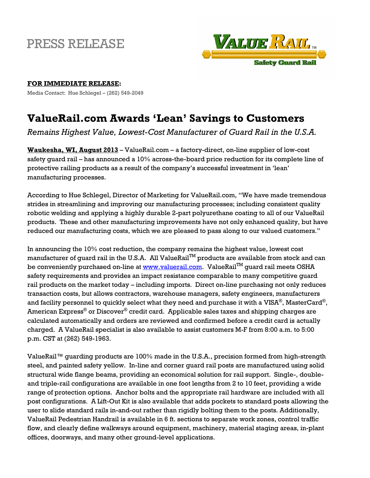## PRESS RELEASE



## **FOR IMMEDIATE RELEASE:**

Media Contact: Hue Schlegel – (262) 549-2049

## **ValueRail.com Awards 'Lean' Savings to Customers**

*Remains Highest Value, Lowest-Cost Manufacturer of Guard Rail in the U.S.A.*

**Waukesha, WI, August 2013** – ValueRail.com – a factory-direct, on-line supplier of low-cost safety guard rail – has announced a 10% across-the-board price reduction for its complete line of protective railing products as a result of the company's successful investment in 'lean' manufacturing processes.

According to Hue Schlegel, Director of Marketing for ValueRail.com, "We have made tremendous strides in streamlining and improving our manufacturing processes; including consistent quality robotic welding and applying a highly durable 2-part polyurethane coating to all of our ValueRail products. These and other manufacturing improvements have not only enhanced quality, but have reduced our manufacturing costs, which we are pleased to pass along to our valued customers."

In announcing the 10% cost reduction, the company remains the highest value, lowest cost manufacturer of guard rail in the U.S.A. All ValueRailTM products are available from stock and can be conveniently purchased on-line at [www.valuerail.com.](http://www.valuerail.com/) ValueRail<sup>TM</sup> quard rail meets OSHA safety requirements and provides an impact resistance comparable to many competitive guard rail products on the market today – including imports. Direct on-line purchasing not only reduces transaction costs, but allows contractors, warehouse managers, safety engineers, manufacturers and facility personnel to quickly select what they need and purchase it with a VISA®, MasterCard®, American Express® or Discover® credit card. Applicable sales taxes and shipping charges are calculated automatically and orders are reviewed and confirmed before a credit card is actually charged. A ValueRail specialist is also available to assist customers M-F from 8:00 a.m. to 5:00 p.m. CST at (262) 549-1963.

ValueRail™ guarding products are 100% made in the U.S.A., precision formed from high-strength steel, and painted safety yellow. In-line and corner guard rail posts are manufactured using solid structural wide flange beams, providing an economical solution for rail support. Single-, doubleand triple-rail configurations are available in one foot lengths from 2 to 10 feet, providing a wide range of protection options. Anchor bolts and the appropriate rail hardware are included with all post configurations. A Lift-Out Kit is also available that adds pockets to standard posts allowing the user to slide standard rails in-and-out rather than rigidly bolting them to the posts. Additionally, ValueRail Pedestrian Handrail is available in 6 ft. sections to separate work zones, control traffic flow, and clearly define walkways around equipment, machinery, material staging areas, in-plant offices, doorways, and many other ground-level applications.